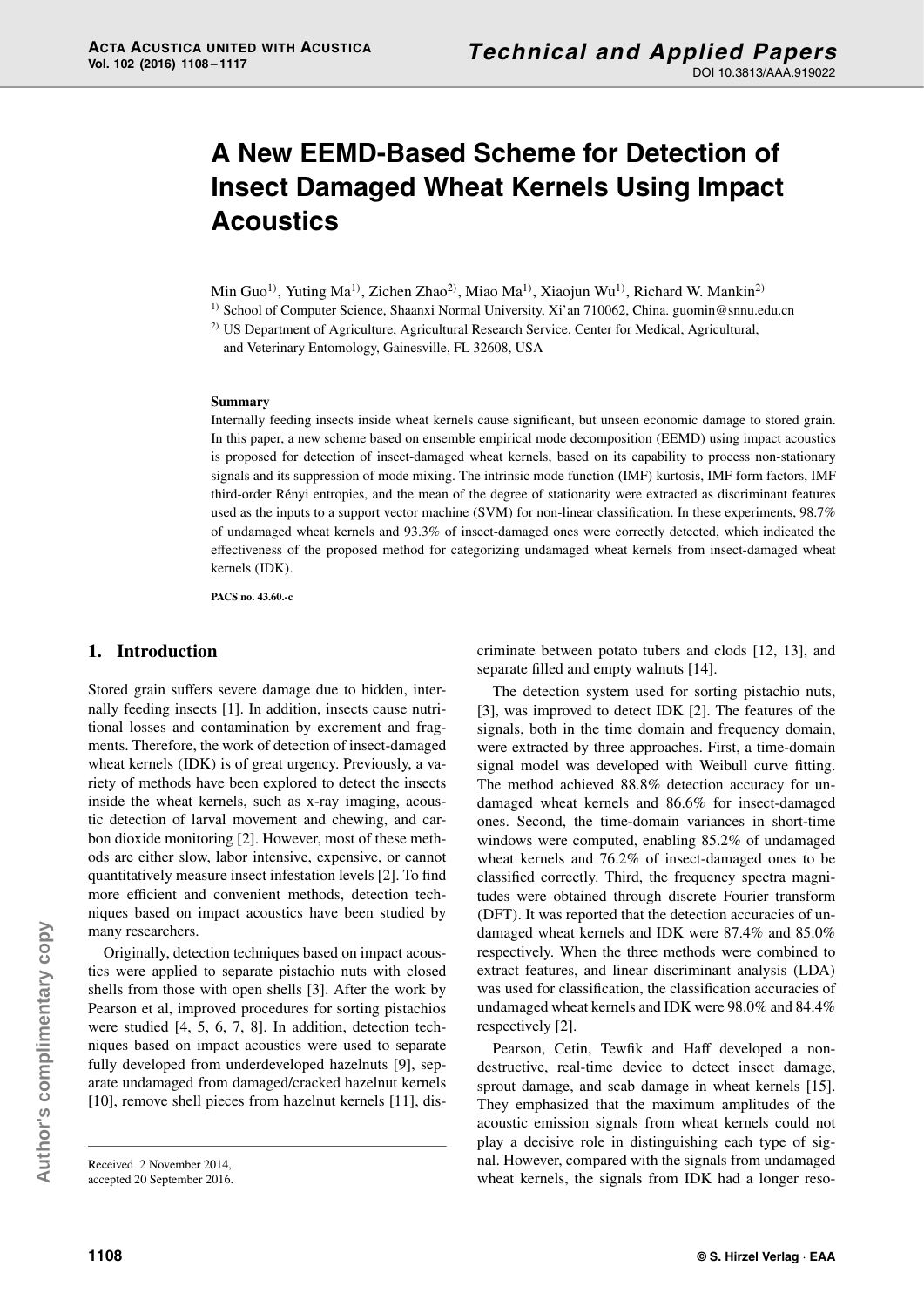# **A New EEMD-Based Scheme for Detection of Insect Damaged Wheat Kernels Using Impact Acoustics**

Min Guo<sup>1)</sup>, Yuting Ma<sup>1)</sup>, Zichen Zhao<sup>2)</sup>, Miao Ma<sup>1)</sup>, Xiaojun Wu<sup>1)</sup>, Richard W. Mankin<sup>2)</sup>

<sup>1)</sup> School of Computer Science, Shaanxi Normal University, Xi'an 710062, China. guomin@snnu.edu.cn

<sup>2)</sup> US Department of Agriculture, Agricultural Research Service, Center for Medical, Agricultural,

and Veterinary Entomology, Gainesville, FL 32608, USA

## **Summary**

Internally feeding insects inside wheat kernels cause significant, but unseen economic damage to stored grain. In this paper, a new scheme based on ensemble empirical mode decomposition (EEMD) using impact acoustics is proposed for detection of insect-damaged wheat kernels, based on its capability to process non-stationary signals and its suppression of mode mixing. The intrinsic mode function (IMF) kurtosis, IMF form factors, IMF third-order Rényi entropies, and the mean of the degree of stationarity were extracted as discriminant features used as the inputs to a support vector machine (SVM) for non-linear classification. In these experiments, 98.7% of undamaged wheat kernels and 93.3% of insect-damaged ones were correctly detected, which indicated the effectiveness of the proposed method for categorizing undamaged wheat kernels from insect-damaged wheat kernels (IDK).

**PACS no. 43.60.-c**

# **1. Introduction**

Stored grain suffers severe damage due to hidden, internally feeding insects [1]. In addition, insects cause nutritional losses and contamination by excrement and fragments. Therefore, the work of detection of insect-damaged wheat kernels (IDK) is of great urgency. Previously, a variety of methods have been explored to detect the insects inside the wheat kernels, such as x-ray imaging, acoustic detection of larval movement and chewing, and carbon dioxide monitoring [2]. However, most of these methods are either slow, labor intensive, expensive, or cannot quantitatively measure insect infestation levels [2]. To find more efficient and convenient methods, detection techniques based on impact acoustics have been studied by many researchers.

Originally, detection techniques based on impact acoustics were applied to separate pistachio nuts with closed shells from those with open shells [3]. After the work by Pearson et al, improved procedures for sorting pistachios were studied [4, 5, 6, 7, 8]. In addition, detection techniques based on impact acoustics were used to separate fully developed from underdeveloped hazelnuts [9], separate undamaged from damaged/cracked hazelnut kernels [10], remove shell pieces from hazelnut kernels [11], discriminate between potato tubers and clods [12, 13], and separate filled and empty walnuts [14].

The detection system used for sorting pistachio nuts, [3], was improved to detect IDK [2]. The features of the signals, both in the time domain and frequency domain, were extracted by three approaches. First, a time-domain signal model was developed with Weibull curve fitting. The method achieved 88.8% detection accuracy for undamaged wheat kernels and 86.6% for insect-damaged ones. Second, the time-domain variances in short-time windows were computed, enabling 85.2% of undamaged wheat kernels and 76.2% of insect-damaged ones to be classified correctly. Third, the frequency spectra magnitudes were obtained through discrete Fourier transform (DFT). It was reported that the detection accuracies of undamaged wheat kernels and IDK were 87.4% and 85.0% respectively. When the three methods were combined to extract features, and linear discriminant analysis (LDA) was used for classification, the classification accuracies of undamaged wheat kernels and IDK were 98.0% and 84.4% respectively [2].

Pearson, Cetin, Tewfik and Haff developed a nondestructive, real-time device to detect insect damage, sprout damage, and scab damage in wheat kernels [15]. They emphasized that the maximum amplitudes of the acoustic emission signals from wheat kernels could not play a decisive role in distinguishing each type of signal. However, compared with the signals from undamaged wheat kernels, the signals from IDK had a longer reso-

Received 2 November 2014, accepted 20 September 2016.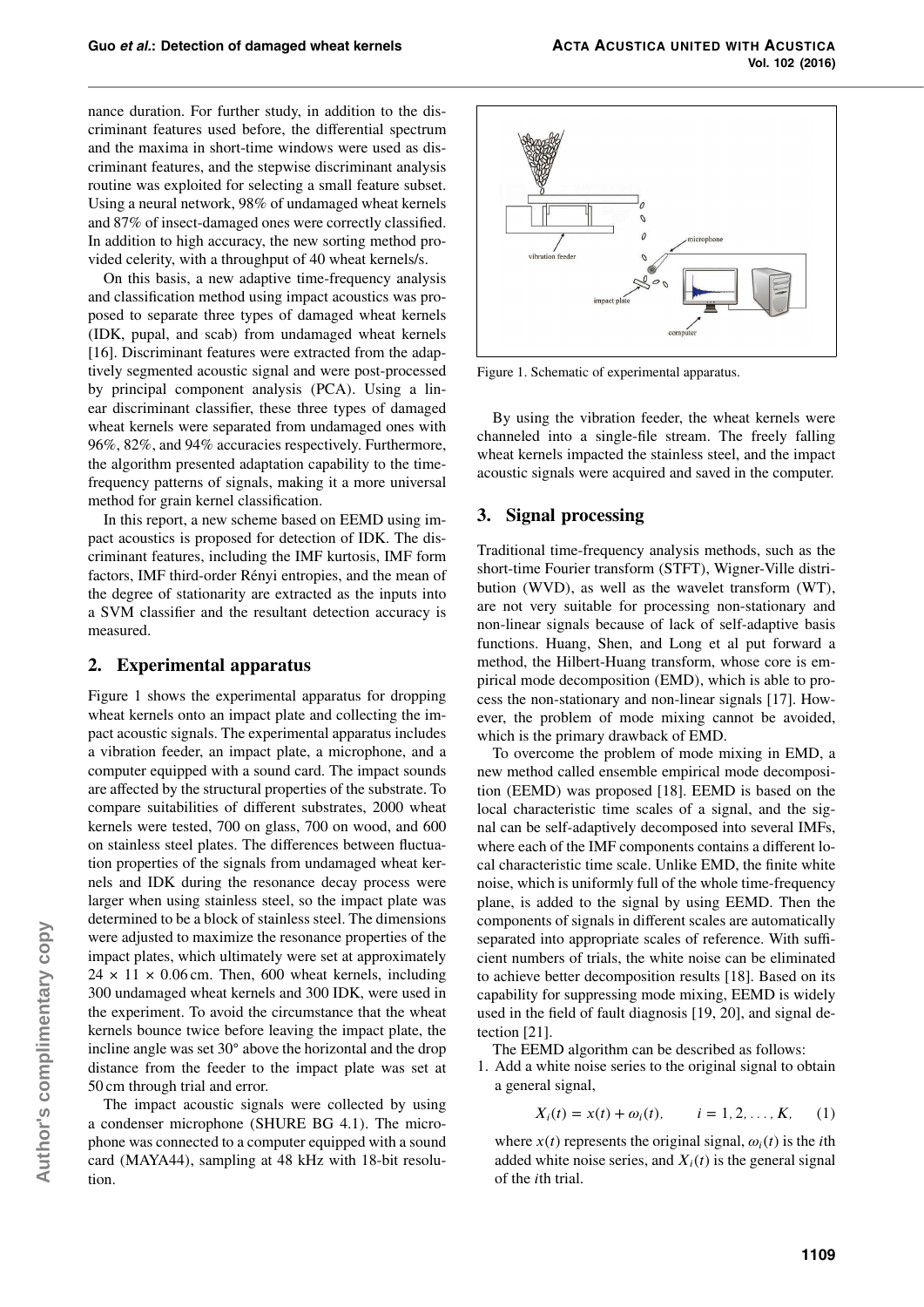nance duration. For further study, in addition to the discriminant features used before, the differential spectrum and the maxima in short-time windows were used as discriminant features, and the stepwise discriminant analysis routine was exploited for selecting a small feature subset. Using a neural network, 98% of undamaged wheat kernels and 87% of insect-damaged ones were correctly classified. In addition to high accuracy, the new sorting method provided celerity, with a throughput of 40 wheat kernels/s.

On this basis, a new adaptive time-frequency analysis and classification method using impact acoustics was proposed to separate three types of damaged wheat kernels (IDK, pupal, and scab) from undamaged wheat kernels [16]. Discriminant features were extracted from the adaptively segmented acoustic signal and were post-processed by principal component analysis (PCA). Using a linear discriminant classifier, these three types of damaged wheat kernels were separated from undamaged ones with 96%, 82%, and 94% accuracies respectively. Furthermore, the algorithm presented adaptation capability to the timefrequency patterns of signals, making it a more universal method for grain kernel classification.

In this report, a new scheme based on EEMD using impact acoustics is proposed for detection of IDK. The discriminant features, including the IMF kurtosis, IMF form factors, IMF third-order Rényi entropies, and the mean of the degree of stationarity are extracted as the inputs into a SVM classifier and the resultant detection accuracy is measured.

# **2. Experimental apparatus**

Figure 1 shows the experimental apparatus for dropping wheat kernels onto an impact plate and collecting the impact acoustic signals. The experimental apparatus includes a vibration feeder, an impact plate, a microphone, and a computer equipped with a sound card. The impact sounds are affected by the structural properties of the substrate. To compare suitabilities of different substrates, 2000 wheat kernels were tested, 700 on glass, 700 on wood, and 600 on stainless steel plates. The differences between fluctuation properties of the signals from undamaged wheat kernels and IDK during the resonance decay process were larger when using stainless steel, so the impact plate was determined to be a block of stainless steel. The dimensions were adjusted to maximize the resonance properties of the impact plates, which ultimately were set at approximately  $24 \times 11 \times 0.06$  cm. Then, 600 wheat kernels, including 300 undamaged wheat kernels and 300 IDK, were used in the experiment. To avoid the circumstance that the wheat kernels bounce twice before leaving the impact plate, the incline angle was set 30◦ above the horizontal and the drop distance from the feeder to the impact plate was set at 50 cm through trial and error.

The impact acoustic signals were collected by using a condenser microphone (SHURE BG 4.1). The microphone was connected to a computer equipped with a sound card (MAYA44), sampling at 48 kHz with 18-bit resolution.



Figure 1. Schematic of experimental apparatus.

By using the vibration feeder, the wheat kernels were channeled into a single-file stream. The freely falling wheat kernels impacted the stainless steel, and the impact acoustic signals were acquired and saved in the computer.

# **3. Signal processing**

Traditional time-frequency analysis methods, such as the short-time Fourier transform (STFT), Wigner-Ville distribution (WVD), as well as the wavelet transform (WT), are not very suitable for processing non-stationary and non-linear signals because of lack of self-adaptive basis functions. Huang, Shen, and Long et al put forward a method, the Hilbert-Huang transform, whose core is empirical mode decomposition (EMD), which is able to process the non-stationary and non-linear signals [17]. However, the problem of mode mixing cannot be avoided, which is the primary drawback of EMD.

To overcome the problem of mode mixing in EMD, a new method called ensemble empirical mode decomposition (EEMD) was proposed [18]. EEMD is based on the local characteristic time scales of a signal, and the signal can be self-adaptively decomposed into several IMFs, where each of the IMF components contains a different local characteristic time scale. Unlike EMD, the finite white noise, which is uniformly full of the whole time-frequency plane, is added to the signal by using EEMD. Then the components of signals in different scales are automatically separated into appropriate scales of reference. With sufficient numbers of trials, the white noise can be eliminated to achieve better decomposition results [18]. Based on its capability for suppressing mode mixing, EEMD is widely used in the field of fault diagnosis [19, 20], and signal detection [21].

The EEMD algorithm can be described as follows:

1. Add a white noise series to the original signal to obtain a general signal,

$$
X_i(t) = x(t) + \omega_i(t),
$$
   
  $i = 1, 2, ..., K,$  (1)

where  $x(t)$  represents the original signal,  $\omega_i(t)$  is the *i*th added white noise series, and  $X_i(t)$  is the general signal of the *i*th trial.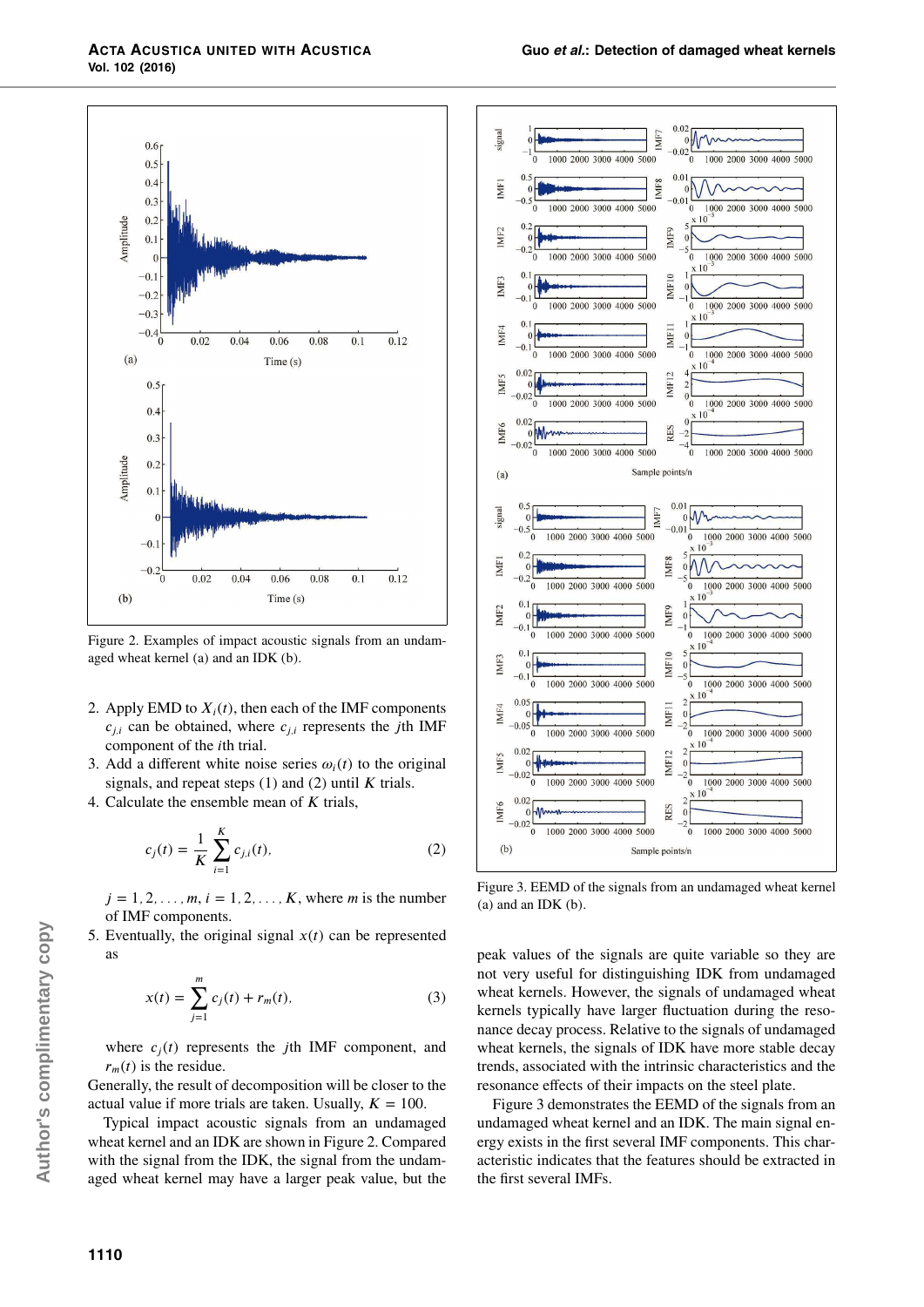

Figure 2. Examples of impact acoustic signals from an undamaged wheat kernel (a) and an IDK (b).

- 2. Apply EMD to  $X_i(t)$ , then each of the IMF components  $c_{i,i}$  can be obtained, where  $c_{i,i}$  represents the *j*th IMF component of the *i*th trial.
- 3. Add a different white noise series  $\omega_i(t)$  to the original signals, and repeat steps (1) and (2) until *K* trials.
- 4. Calculate the ensemble mean of *K* trials,

$$
c_j(t) = \frac{1}{K} \sum_{i=1}^{K} c_{j,i}(t),
$$
 (2)

 $j = 1, 2, ..., m, i = 1, 2, ..., K$ , where *m* is the number of IMF components.

5. Eventually, the original signal  $x(t)$  can be represented as

$$
x(t) = \sum_{j=1}^{m} c_j(t) + r_m(t),
$$
 (3)

where  $c_j(t)$  represents the *j*th IMF component, and  $r<sub>m</sub>(t)$  is the residue.

Generally, the result of decomposition will be closer to the actual value if more trials are taken. Usually,  $K = 100$ .

Typical impact acoustic signals from an undamaged wheat kernel and an IDK are shown in Figure 2. Compared with the signal from the IDK, the signal from the undamaged wheat kernel may have a larger peak value, but the



Figure 3. EEMD of the signals from an undamaged wheat kernel (a) and an IDK (b).

peak values of the signals are quite variable so they are not very useful for distinguishing IDK from undamaged wheat kernels. However, the signals of undamaged wheat kernels typically have larger fluctuation during the resonance decay process. Relative to the signals of undamaged wheat kernels, the signals of IDK have more stable decay trends, associated with the intrinsic characteristics and the resonance effects of their impacts on the steel plate.

Figure 3 demonstrates the EEMD of the signals from an undamaged wheat kernel and an IDK. The main signal energy exists in the first several IMF components. This characteristic indicates that the features should be extracted in the first several IMFs.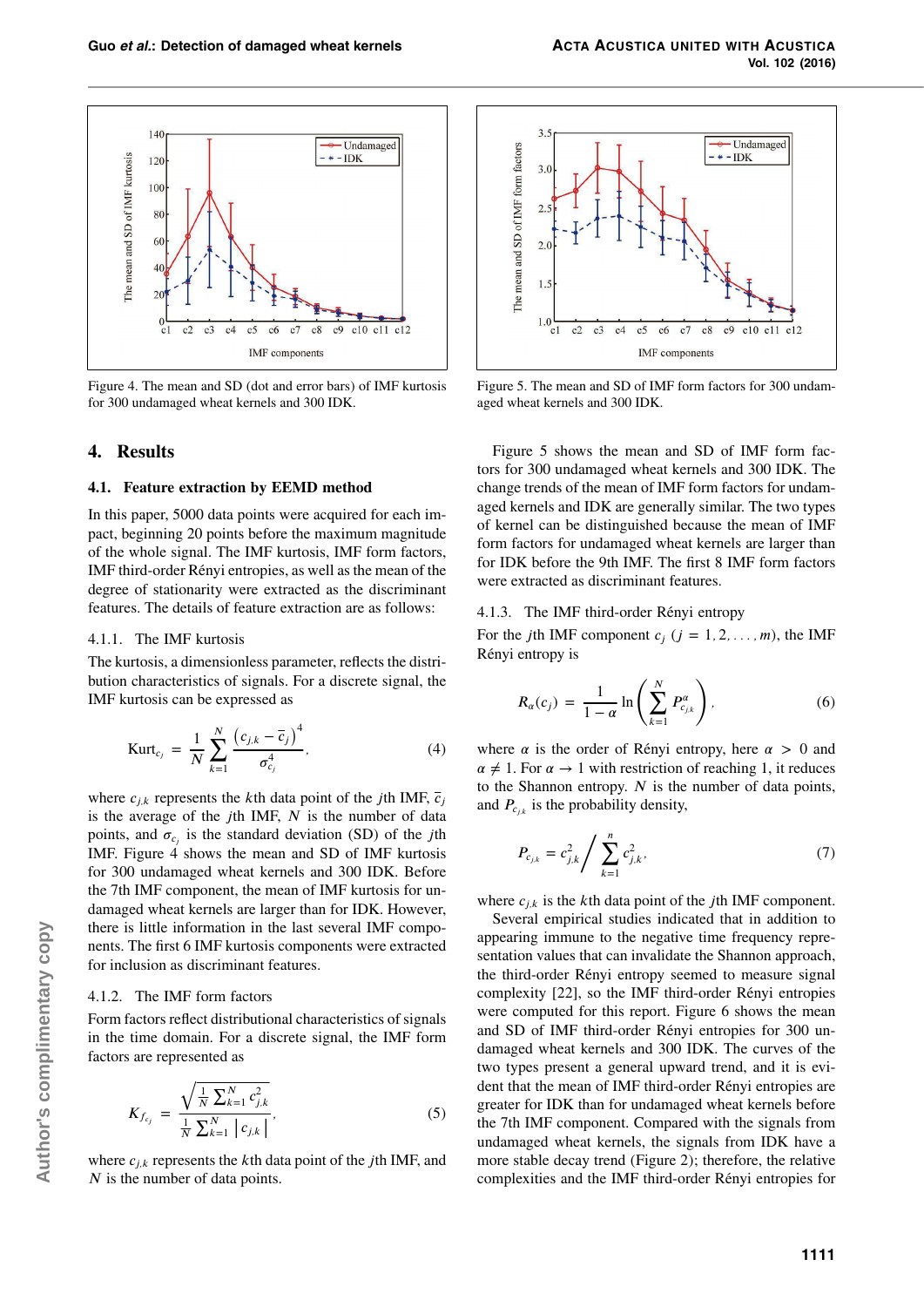

Figure 4. The mean and SD (dot and error bars) of IMF kurtosis for 300 undamaged wheat kernels and 300 IDK.

# **4. Results**

#### **4.1. Feature extraction by EEMD method**

In this paper, 5000 data points were acquired for each impact, beginning 20 points before the maximum magnitude of the whole signal. The IMF kurtosis, IMF form factors, IMF third-order Rényi entropies, as well as the mean of the degree of stationarity were extracted as the discriminant features. The details of feature extraction are as follows:

### 4.1.1. The IMF kurtosis

The kurtosis, a dimensionless parameter, reflects the distribution characteristics of signals. For a discrete signal, the IMF kurtosis can be expressed as

$$
Kurt_{c_j} = \frac{1}{N} \sum_{k=1}^{N} \frac{(c_{j,k} - \overline{c}_j)^4}{\sigma_{c_j}^4},
$$
 (4)

where  $c_{j,k}$  represents the *k*th data point of the *j*th IMF,  $\overline{c}_j$ is the average of the *j*th IMF, *N* is the number of data points, and  $\sigma_{c_j}$  is the standard deviation (SD) of the *j*th IMF. Figure 4 shows the mean and SD of IMF kurtosis for 300 undamaged wheat kernels and 300 IDK. Before the 7th IMF component, the mean of IMF kurtosis for undamaged wheat kernels are larger than for IDK. However, there is little information in the last several IMF components. The first 6 IMF kurtosis components were extracted for inclusion as discriminant features.

#### 4.1.2. The IMF form factors

Form factors reflect distributional characteristics of signals in the time domain. For a discrete signal, the IMF form factors are represented as

$$
K_{f_{cj}} = \frac{\sqrt{\frac{1}{N} \sum_{k=1}^{N} c_{j,k}^2}}{\frac{1}{N} \sum_{k=1}^{N} |c_{j,k}|},
$$
\n(5)

where *cj,k* represents the *k*th data point of the *j*th IMF, and *N* is the number of data points.



Figure 5. The mean and SD of IMF form factors for 300 undamaged wheat kernels and 300 IDK.

Figure 5 shows the mean and SD of IMF form factors for 300 undamaged wheat kernels and 300 IDK. The change trends of the mean of IMF form factors for undamaged kernels and IDK are generally similar. The two types of kernel can be distinguished because the mean of IMF form factors for undamaged wheat kernels are larger than for IDK before the 9th IMF. The first 8 IMF form factors were extracted as discriminant features.

#### 4.1.3. The IMF third-order Rényi entropy

For the *j*th IMF component  $c_j$  ( $j = 1, 2, ..., m$ ), the IMF Rényi entropy is

$$
R_{\alpha}(c_j) = \frac{1}{1-\alpha} \ln \left( \sum_{k=1}^{N} P_{c_{j,k}}^{\alpha} \right), \qquad (6)
$$

where  $\alpha$  is the order of Rényi entropy, here  $\alpha > 0$  and  $\alpha \neq 1$ . For  $\alpha \rightarrow 1$  with restriction of reaching 1, it reduces to the Shannon entropy. *N* is the number of data points, and  $P_{c_{j,k}}$  is the probability density,

$$
P_{c_{j,k}} = c_{j,k}^2 / \sum_{k=1}^n c_{j,k}^2,
$$
 (7)

where  $c_{i,k}$  is the *k*th data point of the *j*th IMF component.

Several empirical studies indicated that in addition to appearing immune to the negative time frequency representation values that can invalidate the Shannon approach, the third-order Rényi entropy seemed to measure signal complexity [22], so the IMF third-order Rényi entropies were computed for this report. Figure 6 shows the mean and SD of IMF third-order Rényi entropies for 300 undamaged wheat kernels and 300 IDK. The curves of the two types present a general upward trend, and it is evident that the mean of IMF third-order Rényi entropies are greater for IDK than for undamaged wheat kernels before the 7th IMF component. Compared with the signals from undamaged wheat kernels, the signals from IDK have a more stable decay trend (Figure 2); therefore, the relative complexities and the IMF third-order Rényi entropies for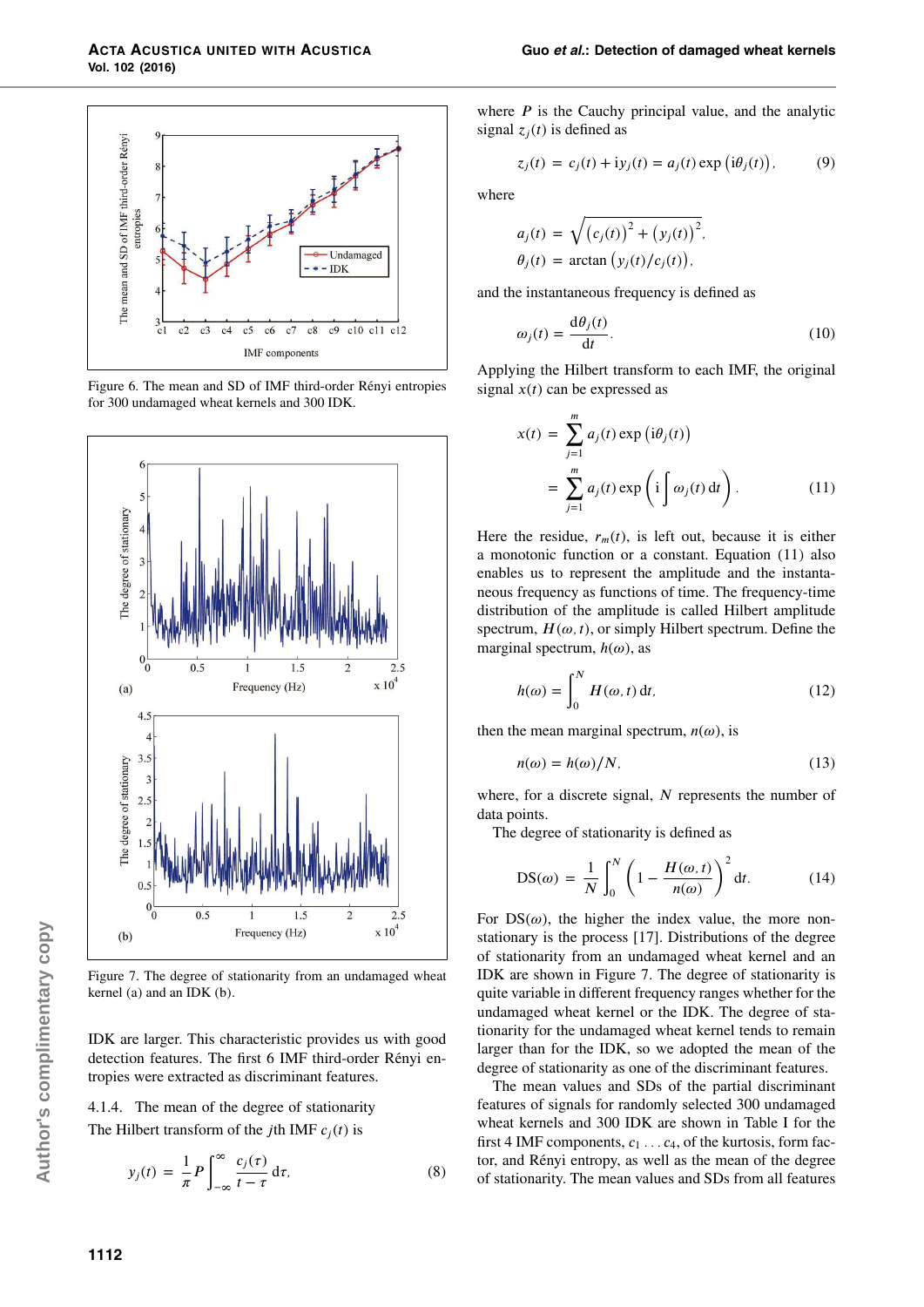

Figure 6. The mean and SD of IMF third-order Rényi entropies for 300 undamaged wheat kernels and 300 IDK.



Figure 7. The degree of stationarity from an undamaged wheat kernel (a) and an IDK (b).

IDK are larger. This characteristic provides us with good detection features. The first 6 IMF third-order Rényi entropies were extracted as discriminant features.

## 4.1.4. The mean of the degree of stationarity

The Hilbert transform of the *j*th IMF  $c_j(t)$  is

$$
y_j(t) = \frac{1}{\pi} P \int_{-\infty}^{\infty} \frac{c_j(\tau)}{t - \tau} d\tau, \tag{8}
$$

where  $P$  is the Cauchy principal value, and the analytic signal  $z_i(t)$  is defined as

$$
z_j(t) = c_j(t) + iy_j(t) = a_j(t) \exp(i\theta_j(t)), \qquad (9)
$$

where

$$
a_j(t) = \sqrt{(c_j(t))^{2} + (y_j(t))^{2}},
$$
  
\n
$$
\theta_j(t) = \arctan (y_j(t)/c_j(t)),
$$

and the instantaneous frequency is defined as

$$
\omega_j(t) = \frac{\mathrm{d}\theta_j(t)}{\mathrm{d}t}.\tag{10}
$$

Applying the Hilbert transform to each IMF, the original signal  $x(t)$  can be expressed as

$$
x(t) = \sum_{j=1}^{m} a_j(t) \exp(i\theta_j(t))
$$
  
= 
$$
\sum_{j=1}^{m} a_j(t) \exp(i\int \omega_j(t) dt).
$$
 (11)

Here the residue,  $r_m(t)$ , is left out, because it is either a monotonic function or a constant. Equation (11) also enables us to represent the amplitude and the instantaneous frequency as functions of time. The frequency-time distribution of the amplitude is called Hilbert amplitude spectrum,  $H(\omega, t)$ , or simply Hilbert spectrum. Define the marginal spectrum, *h*(*ω*), as

$$
h(\omega) = \int_0^N H(\omega, t) \, \mathrm{d}t,\tag{12}
$$

then the mean marginal spectrum,  $n(\omega)$ , is

$$
n(\omega) = h(\omega)/N,\tag{13}
$$

where, for a discrete signal, *N* represents the number of data points.

The degree of stationarity is defined as

$$
DS(\omega) = \frac{1}{N} \int_0^N \left( 1 - \frac{H(\omega, t)}{n(\omega)} \right)^2 dt.
$$
 (14)

For  $DS(\omega)$ , the higher the index value, the more nonstationary is the process [17]. Distributions of the degree of stationarity from an undamaged wheat kernel and an IDK are shown in Figure 7. The degree of stationarity is quite variable in different frequency ranges whether for the undamaged wheat kernel or the IDK. The degree of stationarity for the undamaged wheat kernel tends to remain larger than for the IDK, so we adopted the mean of the degree of stationarity as one of the discriminant features.

The mean values and SDs of the partial discriminant features of signals for randomly selected 300 undamaged wheat kernels and 300 IDK are shown in Table I for the first 4 IMF components,  $c_1 \ldots c_4$ , of the kurtosis, form factor, and Rényi entropy, as well as the mean of the degree of stationarity. The mean values and SDs from all features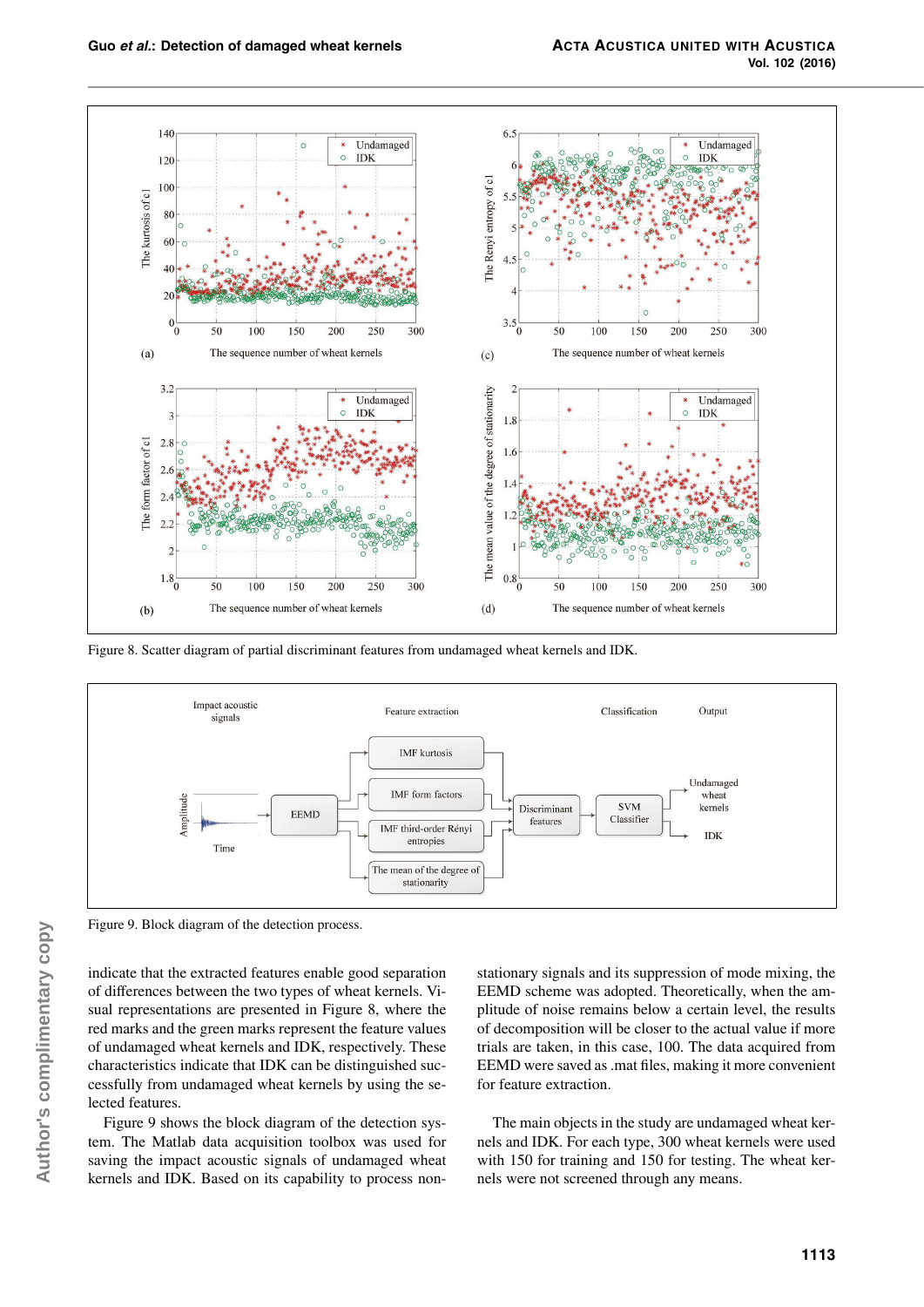

Figure 8. Scatter diagram of partial discriminant features from undamaged wheat kernels and IDK.



Figure 9. Block diagram of the detection process.

indicate that the extracted features enable good separation of differences between the two types of wheat kernels. Visual representations are presented in Figure 8, where the red marks and the green marks represent the feature values of undamaged wheat kernels and IDK, respectively. These characteristics indicate that IDK can be distinguished successfully from undamaged wheat kernels by using the selected features.

Figure 9 shows the block diagram of the detection system. The Matlab data acquisition toolbox was used for saving the impact acoustic signals of undamaged wheat kernels and IDK. Based on its capability to process non-

stationary signals and its suppression of mode mixing, the EEMD scheme was adopted. Theoretically, when the amplitude of noise remains below a certain level, the results of decomposition will be closer to the actual value if more trials are taken, in this case, 100. The data acquired from EEMD were saved as .mat files, making it more convenient for feature extraction.

The main objects in the study are undamaged wheat kernels and IDK. For each type, 300 wheat kernels were used with 150 for training and 150 for testing. The wheat kernels were not screened through any means.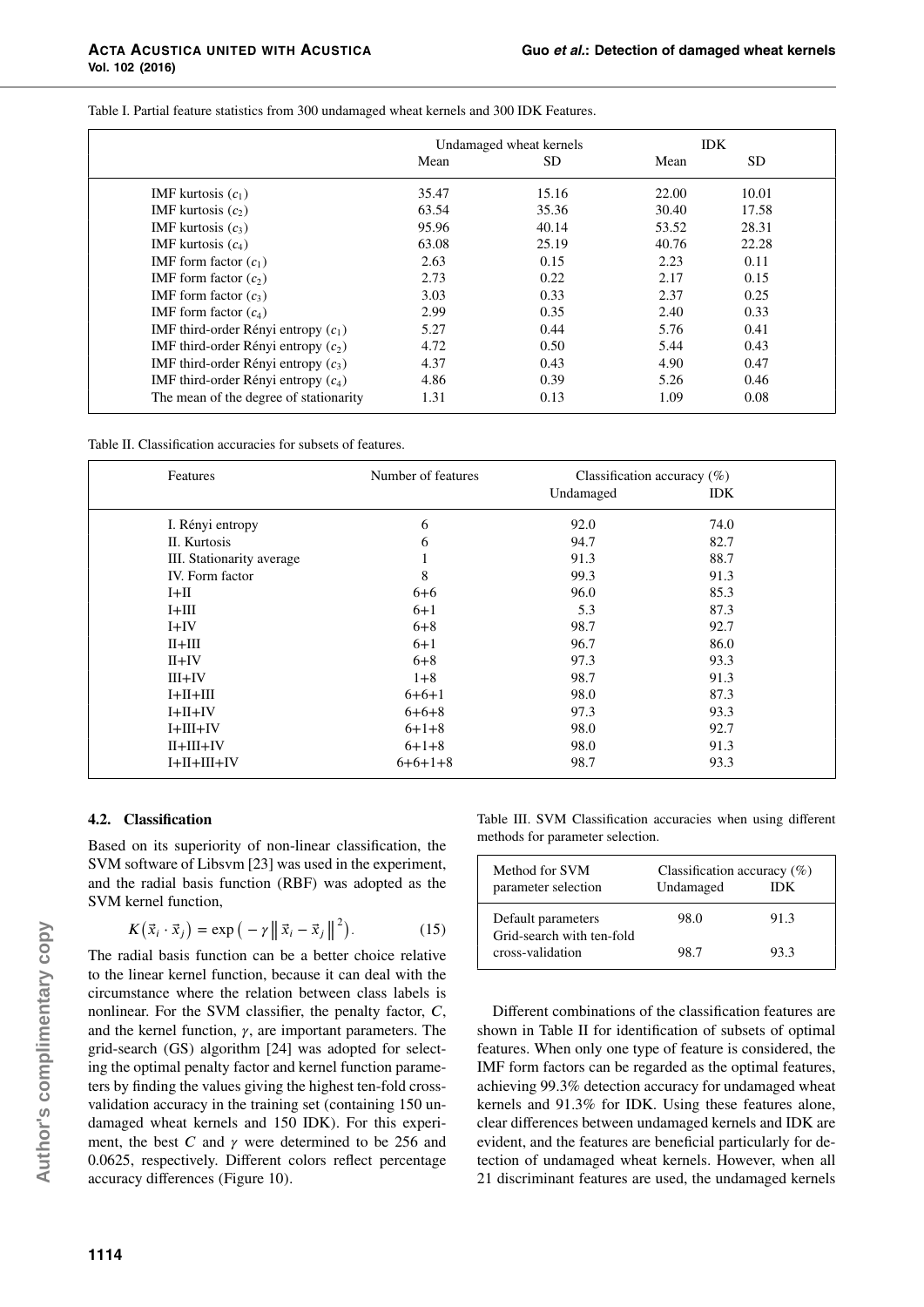Table I. Partial feature statistics from 300 undamaged wheat kernels and 300 IDK Features.

|                                        | Undamaged wheat kernels |           | <b>IDK</b> |           |
|----------------------------------------|-------------------------|-----------|------------|-----------|
|                                        | Mean                    | <b>SD</b> | Mean       | <b>SD</b> |
| IMF kurtosis $(c_1)$                   | 35.47                   | 15.16     | 22.00      | 10.01     |
| IMF kurtosis $(c_2)$                   | 63.54                   | 35.36     | 30.40      | 17.58     |
| IMF kurtosis $(c_3)$                   | 95.96                   | 40.14     | 53.52      | 28.31     |
| IMF kurtosis $(c_4)$                   | 63.08                   | 25.19     | 40.76      | 22.28     |
| IMF form factor $(c_1)$                | 2.63                    | 0.15      | 2.23       | 0.11      |
| IMF form factor $(c_2)$                | 2.73                    | 0.22      | 2.17       | 0.15      |
| IMF form factor $(c_3)$                | 3.03                    | 0.33      | 2.37       | 0.25      |
| IMF form factor $(c_4)$                | 2.99                    | 0.35      | 2.40       | 0.33      |
| IMF third-order Rényi entropy $(c_1)$  | 5.27                    | 0.44      | 5.76       | 0.41      |
| IMF third-order Rényi entropy $(c_2)$  | 4.72                    | 0.50      | 5.44       | 0.43      |
| IMF third-order Rényi entropy $(c_3)$  | 4.37                    | 0.43      | 4.90       | 0.47      |
| IMF third-order Rényi entropy $(c_4)$  | 4.86                    | 0.39      | 5.26       | 0.46      |
| The mean of the degree of stationarity | 1.31                    | 0.13      | 1.09       | 0.08      |

| Table II. Classification accuracies for subsets of features. |  |
|--------------------------------------------------------------|--|
|--------------------------------------------------------------|--|

| Features                  | Number of features | Classification accuracy $(\%)$ |            |  |
|---------------------------|--------------------|--------------------------------|------------|--|
|                           |                    | Undamaged                      | <b>IDK</b> |  |
| I. Rényi entropy          | 6                  | 92.0                           | 74.0       |  |
| II. Kurtosis              | 6                  | 94.7                           | 82.7       |  |
| III. Stationarity average |                    | 91.3                           | 88.7       |  |
| IV. Form factor           | 8                  | 99.3                           | 91.3       |  |
| $I+II$                    | $6 + 6$            | 96.0                           | 85.3       |  |
| $I+III$                   | $6 + 1$            | 5.3                            | 87.3       |  |
| $I+IV$                    | $6 + 8$            | 98.7                           | 92.7       |  |
| $II+III$                  | $6 + 1$            | 96.7                           | 86.0       |  |
| $II+IV$                   | $6 + 8$            | 97.3                           | 93.3       |  |
| $III+IV$                  | $1 + 8$            | 98.7                           | 91.3       |  |
| $I+II+III$                | $6 + 6 + 1$        | 98.0                           | 87.3       |  |
| $I+II+IV$                 | $6 + 6 + 8$        | 97.3                           | 93.3       |  |
| $I+III+IV$                | $6+1+8$            | 98.0                           | 92.7       |  |
| $II+III+IV$               | $6+1+8$            | 98.0                           | 91.3       |  |
| $I+II+III+IV$             | $6+6+1+8$          | 98.7                           | 93.3       |  |

#### **4.2. Classification**

Based on its superiority of non-linear classification, the SVM software of Libsvm [23] was used in the experiment, and the radial basis function (RBF) was adopted as the SVM kernel function,

$$
K(\vec{x}_i \cdot \vec{x}_j) = \exp(-\gamma \left\| \vec{x}_i - \vec{x}_j \right\|^2). \tag{15}
$$

The radial basis function can be a better choice relative to the linear kernel function, because it can deal with the circumstance where the relation between class labels is nonlinear. For the SVM classifier, the penalty factor, *C*, and the kernel function, *γ*, are important parameters. The grid-search (GS) algorithm [24] was adopted for selecting the optimal penalty factor and kernel function parameters by finding the values giving the highest ten-fold crossvalidation accuracy in the training set (containing 150 undamaged wheat kernels and 150 IDK). For this experiment, the best *C* and  $\gamma$  were determined to be 256 and 0.0625, respectively. Different colors reflect percentage accuracy differences (Figure 10).

Table III. SVM Classification accuracies when using different methods for parameter selection.

| Method for SVM<br>parameter selection           | Classification accuracy $(\%)$<br>Undamaged<br>ЮK |      |
|-------------------------------------------------|---------------------------------------------------|------|
| Default parameters<br>Grid-search with ten-fold | 98.0                                              | 91.3 |
| cross-validation                                | 98.7                                              | 93.3 |

Different combinations of the classification features are shown in Table II for identification of subsets of optimal features. When only one type of feature is considered, the IMF form factors can be regarded as the optimal features, achieving 99.3% detection accuracy for undamaged wheat kernels and 91.3% for IDK. Using these features alone, clear differences between undamaged kernels and IDK are evident, and the features are beneficial particularly for detection of undamaged wheat kernels. However, when all 21 discriminant features are used, the undamaged kernels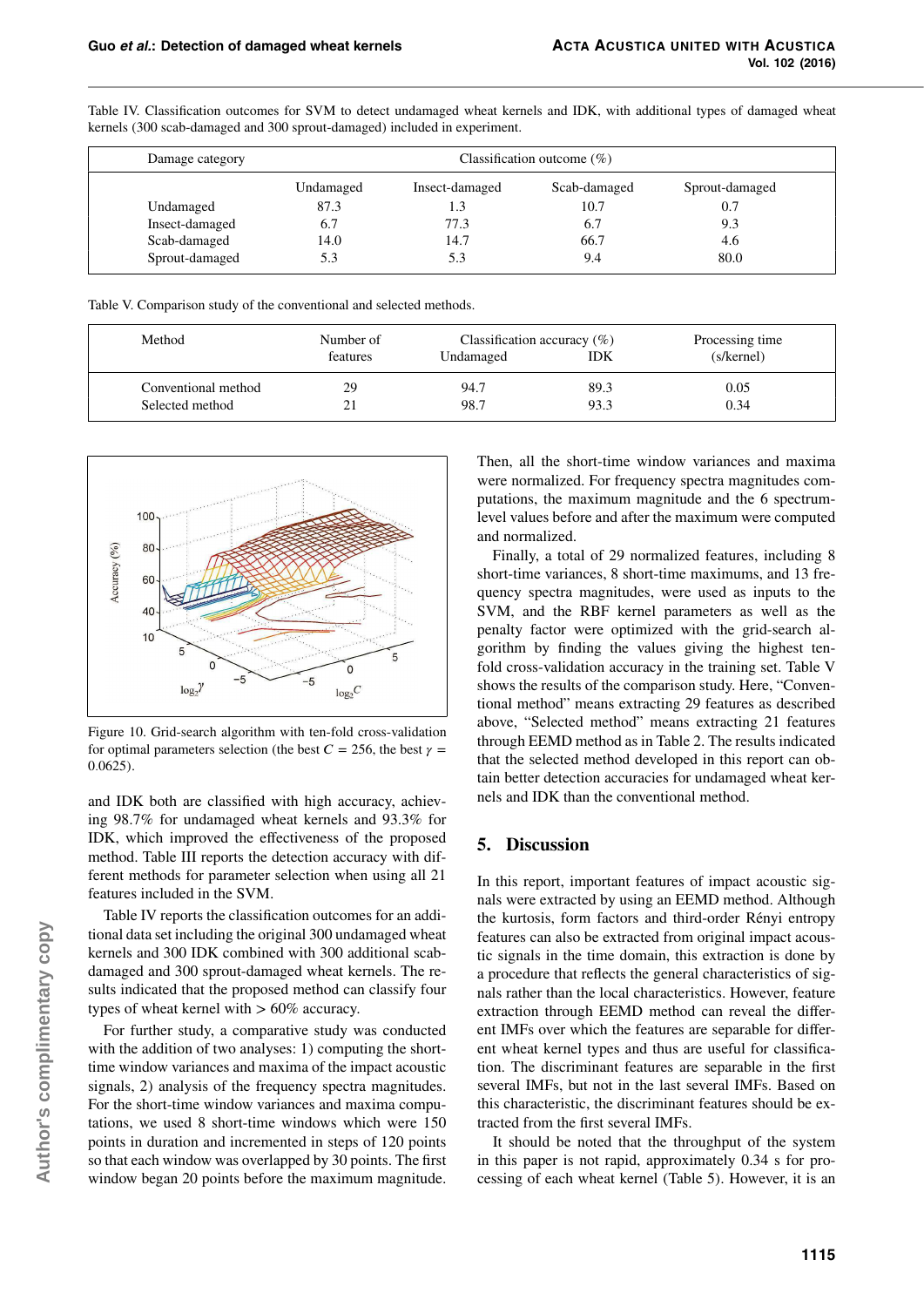| Damage category | Classification outcome $(\%)$ |                |              |                |
|-----------------|-------------------------------|----------------|--------------|----------------|
|                 | Undamaged                     | Insect-damaged | Scab-damaged | Sprout-damaged |
| Undamaged       | 87.3                          | 1.3            | 10.7         | 0.7            |
| Insect-damaged  | 6.7                           | 77.3           | 6.7          | 9.3            |
| Scab-damaged    | 14.0                          | 14.7           | 66.7         | 4.6            |
| Sprout-damaged  | 5.3                           |                | 9.4          | 80.0           |

Table IV. Classification outcomes for SVM to detect undamaged wheat kernels and IDK, with additional types of damaged wheat kernels (300 scab-damaged and 300 sprout-damaged) included in experiment.

Table V. Comparison study of the conventional and selected methods.

| Method              | Number of | Classification accuracy $(\%)$ |            | Processing time |  |
|---------------------|-----------|--------------------------------|------------|-----------------|--|
|                     | features  | Undamaged                      | <b>IDK</b> | (s/kernel)      |  |
| Conventional method | 29        | 94.7                           | 89.3       | 0.05            |  |
| Selected method     | 21        | 98.7                           | 93.3       | 0.34            |  |



Figure 10. Grid-search algorithm with ten-fold cross-validation for optimal parameters selection (the best  $C = 256$ , the best  $\gamma =$ 0*.*0625).

and IDK both are classified with high accuracy, achieving 98.7% for undamaged wheat kernels and 93.3% for IDK, which improved the effectiveness of the proposed method. Table III reports the detection accuracy with different methods for parameter selection when using all 21 features included in the SVM.

Table IV reports the classification outcomes for an additional data set including the original 300 undamaged wheat kernels and 300 IDK combined with 300 additional scabdamaged and 300 sprout-damaged wheat kernels. The results indicated that the proposed method can classify four types of wheat kernel with *>* 60% accuracy.

For further study, a comparative study was conducted with the addition of two analyses: 1) computing the shorttime window variances and maxima of the impact acoustic signals, 2) analysis of the frequency spectra magnitudes. For the short-time window variances and maxima computations, we used 8 short-time windows which were 150 points in duration and incremented in steps of 120 points so that each window was overlapped by 30 points. The first window began 20 points before the maximum magnitude.

Then, all the short-time window variances and maxima were normalized. For frequency spectra magnitudes computations, the maximum magnitude and the 6 spectrumlevel values before and after the maximum were computed and normalized.

Finally, a total of 29 normalized features, including 8 short-time variances, 8 short-time maximums, and 13 frequency spectra magnitudes, were used as inputs to the SVM, and the RBF kernel parameters as well as the penalty factor were optimized with the grid-search algorithm by finding the values giving the highest tenfold cross-validation accuracy in the training set. Table V shows the results of the comparison study. Here, "Conventional method" means extracting 29 features as described above, "Selected method" means extracting 21 features through EEMD method as in Table 2. The results indicated that the selected method developed in this report can obtain better detection accuracies for undamaged wheat kernels and IDK than the conventional method.

# **5. Discussion**

In this report, important features of impact acoustic signals were extracted by using an EEMD method. Although the kurtosis, form factors and third-order Rényi entropy features can also be extracted from original impact acoustic signals in the time domain, this extraction is done by a procedure that reflects the general characteristics of signals rather than the local characteristics. However, feature extraction through EEMD method can reveal the different IMFs over which the features are separable for different wheat kernel types and thus are useful for classification. The discriminant features are separable in the first several IMFs, but not in the last several IMFs. Based on this characteristic, the discriminant features should be extracted from the first several IMFs.

It should be noted that the throughput of the system in this paper is not rapid, approximately 0.34 s for processing of each wheat kernel (Table 5). However, it is an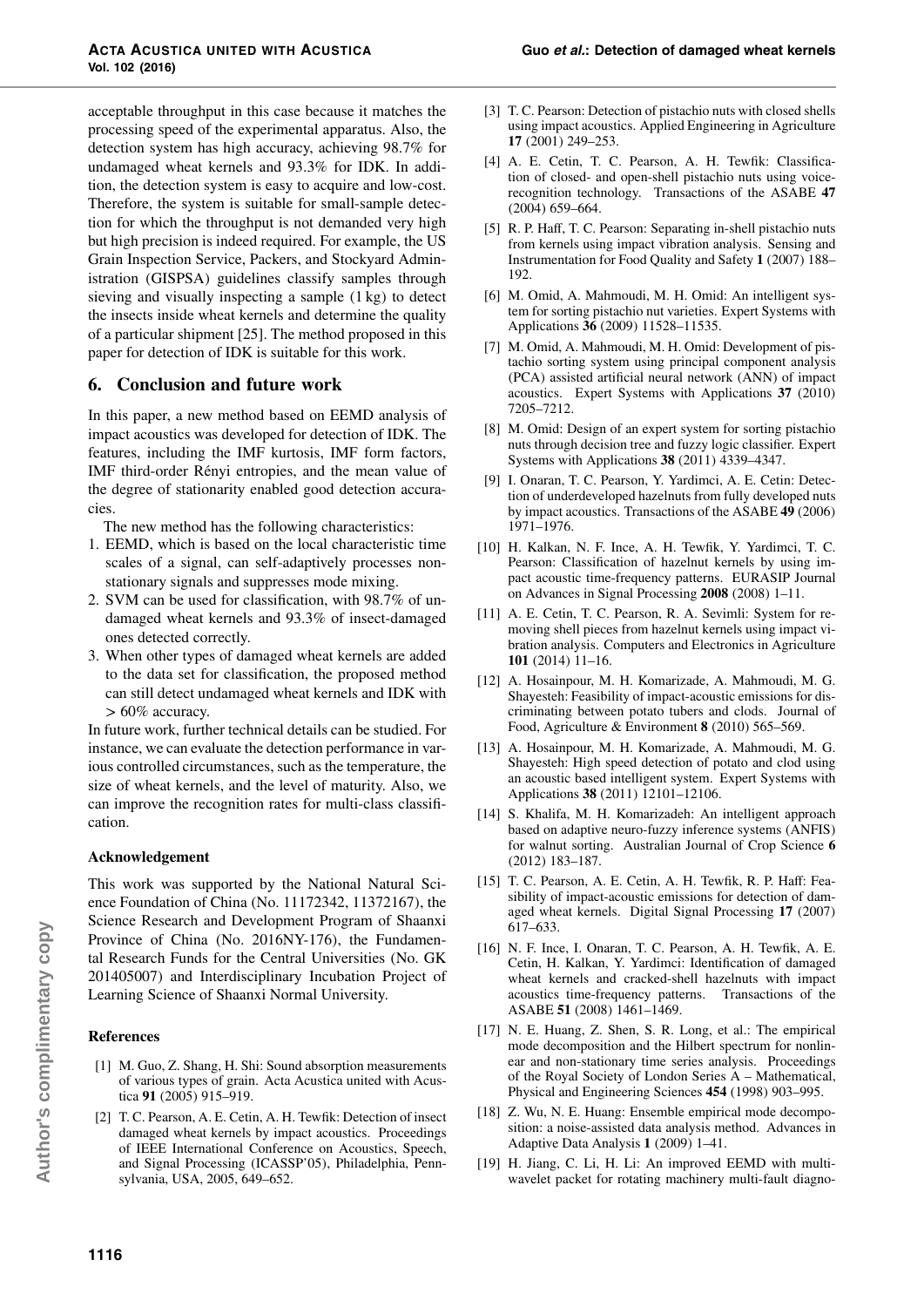acceptable throughput in this case because it matches the processing speed of the experimental apparatus. Also, the detection system has high accuracy, achieving 98.7% for undamaged wheat kernels and 93.3% for IDK. In addition, the detection system is easy to acquire and low-cost. Therefore, the system is suitable for small-sample detection for which the throughput is not demanded very high but high precision is indeed required. For example, the US Grain Inspection Service, Packers, and Stockyard Administration (GISPSA) guidelines classify samples through sieving and visually inspecting a sample (1 kg) to detect the insects inside wheat kernels and determine the quality of a particular shipment [25]. The method proposed in this paper for detection of IDK is suitable for this work.

# **6. Conclusion and future work**

In this paper, a new method based on EEMD analysis of impact acoustics was developed for detection of IDK. The features, including the IMF kurtosis, IMF form factors, IMF third-order Rényi entropies, and the mean value of the degree of stationarity enabled good detection accuracies.

The new method has the following characteristics:

- 1. EEMD, which is based on the local characteristic time scales of a signal, can self-adaptively processes nonstationary signals and suppresses mode mixing.
- 2. SVM can be used for classification, with 98.7% of undamaged wheat kernels and 93.3% of insect-damaged ones detected correctly.
- 3. When other types of damaged wheat kernels are added to the data set for classification, the proposed method can still detect undamaged wheat kernels and IDK with *>* 60% accuracy.

In future work, further technical details can be studied. For instance, we can evaluate the detection performance in various controlled circumstances, such as the temperature, the size of wheat kernels, and the level of maturity. Also, we can improve the recognition rates for multi-class classification.

## **Acknowledgement**

This work was supported by the National Natural Science Foundation of China (No. 11172342, 11372167), the Science Research and Development Program of Shaanxi Province of China (No. 2016NY-176), the Fundamental Research Funds for the Central Universities (No. GK 201405007) and Interdisciplinary Incubation Project of Learning Science of Shaanxi Normal University.

#### **References**

- [1] M. Guo, Z. Shang, H. Shi: Sound absorption measurements of various types of grain. Acta Acustica united with Acustica **91** (2005) 915–919.
- [2] T. C. Pearson, A. E. Cetin, A. H. Tewfik: Detection of insect damaged wheat kernels by impact acoustics. Proceedings of IEEE International Conference on Acoustics, Speech, and Signal Processing (ICASSP'05), Philadelphia, Pennsylvania, USA, 2005, 649–652.
- [3] T. C. Pearson: Detection of pistachio nuts with closed shells using impact acoustics. Applied Engineering in Agriculture **17** (2001) 249–253.
- [4] A. E. Cetin, T. C. Pearson, A. H. Tewfik: Classification of closed- and open-shell pistachio nuts using voicerecognition technology. Transactions of the ASABE **47** (2004) 659–664.
- [5] R. P. Haff, T. C. Pearson: Separating in-shell pistachio nuts from kernels using impact vibration analysis. Sensing and Instrumentation for Food Quality and Safety **1** (2007) 188– 192.
- [6] M. Omid, A. Mahmoudi, M. H. Omid: An intelligent system for sorting pistachio nut varieties. Expert Systems with Applications **36** (2009) 11528–11535.
- [7] M. Omid, A. Mahmoudi, M. H. Omid: Development of pistachio sorting system using principal component analysis (PCA) assisted artificial neural network (ANN) of impact acoustics. Expert Systems with Applications **37** (2010) 7205–7212.
- [8] M. Omid: Design of an expert system for sorting pistachio nuts through decision tree and fuzzy logic classifier. Expert Systems with Applications **38** (2011) 4339–4347.
- [9] I. Onaran, T. C. Pearson, Y. Yardimci, A. E. Cetin: Detection of underdeveloped hazelnuts from fully developed nuts by impact acoustics. Transactions of the ASABE **49** (2006) 1971–1976.
- [10] H. Kalkan, N. F. Ince, A. H. Tewfik, Y. Yardimci, T. C. Pearson: Classification of hazelnut kernels by using impact acoustic time-frequency patterns. EURASIP Journal on Advances in Signal Processing **2008** (2008) 1–11.
- [11] A. E. Cetin, T. C. Pearson, R. A. Sevimli: System for removing shell pieces from hazelnut kernels using impact vibration analysis. Computers and Electronics in Agriculture **101** (2014) 11–16.
- [12] A. Hosainpour, M. H. Komarizade, A. Mahmoudi, M. G. Shayesteh: Feasibility of impact-acoustic emissions for discriminating between potato tubers and clods. Journal of Food, Agriculture & Environment **8** (2010) 565–569.
- [13] A. Hosainpour, M. H. Komarizade, A. Mahmoudi, M. G. Shayesteh: High speed detection of potato and clod using an acoustic based intelligent system. Expert Systems with Applications **38** (2011) 12101–12106.
- [14] S. Khalifa, M. H. Komarizadeh: An intelligent approach based on adaptive neuro-fuzzy inference systems (ANFIS) for walnut sorting. Australian Journal of Crop Science **6** (2012) 183–187.
- [15] T. C. Pearson, A. E. Cetin, A. H. Tewfik, R. P. Haff: Feasibility of impact-acoustic emissions for detection of damaged wheat kernels. Digital Signal Processing **17** (2007) 617–633.
- [16] N. F. Ince, I. Onaran, T. C. Pearson, A. H. Tewfik, A. E. Cetin, H. Kalkan, Y. Yardimci: Identification of damaged wheat kernels and cracked-shell hazelnuts with impact acoustics time-frequency patterns. Transactions of the ASABE **51** (2008) 1461–1469.
- [17] N. E. Huang, Z. Shen, S. R. Long, et al.: The empirical mode decomposition and the Hilbert spectrum for nonlinear and non-stationary time series analysis. Proceedings of the Royal Society of London Series A–Mathematical, Physical and Engineering Sciences **454** (1998) 903–995.
- [18] Z. Wu, N. E. Huang: Ensemble empirical mode decomposition: a noise-assisted data analysis method. Advances in Adaptive Data Analysis **1** (2009) 1–41.
- [19] H. Jiang, C. Li, H. Li: An improved EEMD with multiwavelet packet for rotating machinery multi-fault diagno-